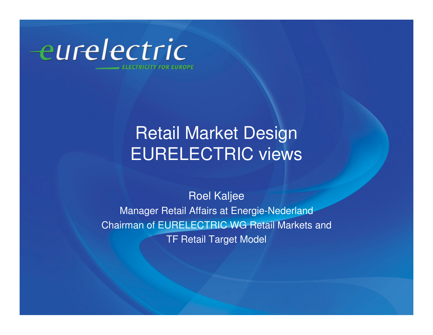

## Retail Market DesignEURELECTRIC views

#### Roel Kaljee

 Manager Retail Affairs at Energie-Nederland Chairman of EURELECTRIC WG Retail Markets and TF Retail Target Model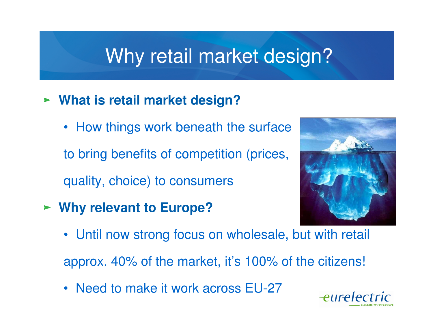## Why retail market design?

### **What is retail market design?**

• How things work beneath the surface

to bring benefits of competition (prices,

quality, choice) to consumers

**Why relevant to Europe?**



• Until now strong focus on wholesale, but with retail

approx. 40% of the market, it's 100% of the citizens!

• Need to make it work across EU-27

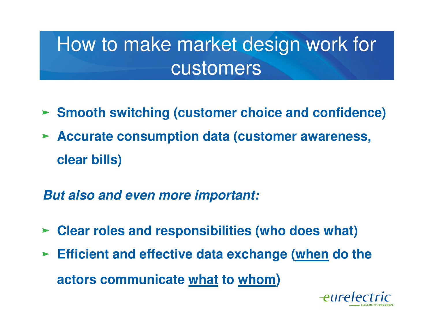# How to make market design work for customers

- **Smooth switching (customer choice and confidence)**
- **Accurate consumption data (customer awareness, clear bills)**

**But also and even more important:**

- **Clear roles and responsibilities (who does what)**
- **Efficient and effective data exchange (when do the actors communicate what to whom)**

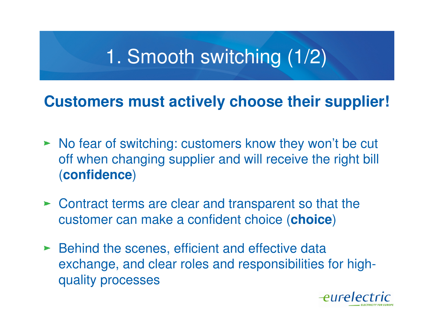# 1. Smooth switching (1/2)

### **Customers must actively choose their supplier!**

- No fear of switching: customers know they won't be cut off when changing supplier and will receive the right bill (**confidence**)
- Contract terms are clear and transparent so that the customer can make a confident choice (**choice**)
- ► Behind the scenes, efficient and effective data exchange, and clear roles and responsibilities for highquality processes

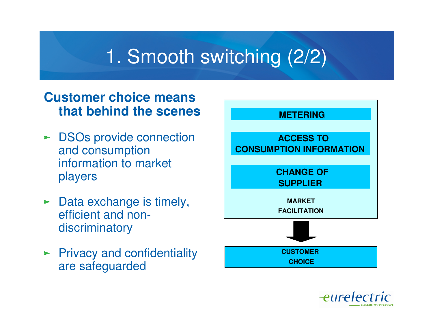# 1. Smooth switching (2/2)

### **Customer choice means that behind the scenes**

- **DSOs provide connection** and consumption information to market players
- $\blacktriangleright$  Data exchange is timely, efficient and nondiscriminatory
- $\blacktriangleright$  Privacy and confidentiality are safeguarded



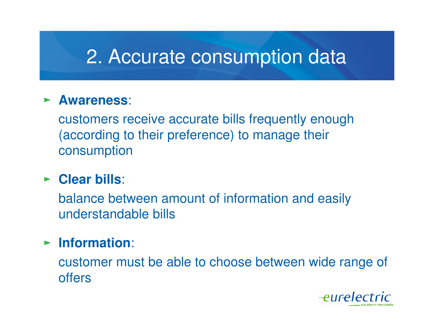## 2. Accurate consumption data

#### **Awareness**:

customers receive accurate bills frequently enough (according to their preference) to manage their consumption

### **Clear bills**:

balance between amount of information and easily understandable bills

### **Information**:

customer must be able to choose between wide range of offers

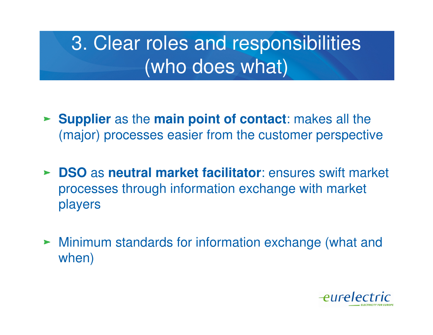# 3. Clear roles and responsibilities (who does what)

- **Supplier** as the **main point of contact**: makes all the (major) processes easier from the customer perspective
- **DSO** as **neutral market facilitator**: ensures swift market processes through information exchange with market players
- Minimum standards for information exchange (what and when)

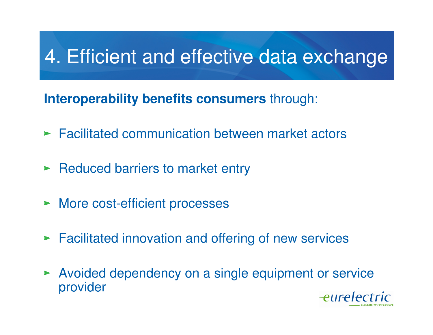# 4. Efficient and effective data exchange

**Interoperability benefits consumers** through:

- **Facilitated communication between market actors**
- **Reduced barriers to market entry**
- **More cost-efficient processes**
- **Facilitated innovation and offering of new services**
- Avoided dependency on a single equipment or serviceprovider

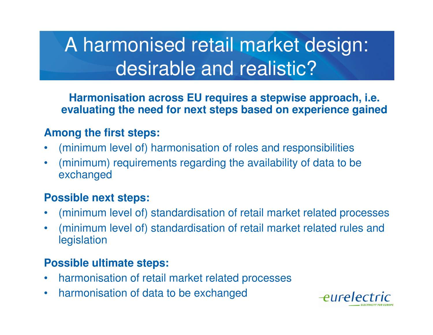# A harmonised retail market design: desirable and realistic?

**Harmonisation across EU requires a stepwise approach, i.e. evaluating the need for next steps based on experience gained**

#### **Among the first steps:**

- •(minimum level of) harmonisation of roles and responsibilities
- $\bullet$  (minimum) requirements regarding the availability of data to be exchanged

#### **Possible next steps:**

- •(minimum level of) standardisation of retail market related processes
- • (minimum level of) standardisation of retail market related rules and legislation

#### **Possible ultimate steps:**

- $\bullet$ harmonisation of retail market related processes
- $\bullet$ harmonisation of data to be exchanged